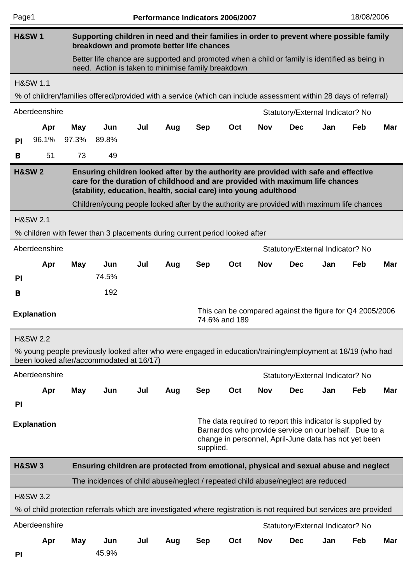| Page1                                                                                                                                                                                                                                                                                                                                                       |                                                   |            |                                                                                                                                                        |     | Performance Indicators 2006/2007 |            |               |            |                                                                                                                                                                             |     | 18/08/2006 |            |
|-------------------------------------------------------------------------------------------------------------------------------------------------------------------------------------------------------------------------------------------------------------------------------------------------------------------------------------------------------------|---------------------------------------------------|------------|--------------------------------------------------------------------------------------------------------------------------------------------------------|-----|----------------------------------|------------|---------------|------------|-----------------------------------------------------------------------------------------------------------------------------------------------------------------------------|-----|------------|------------|
| <b>H&amp;SW1</b>                                                                                                                                                                                                                                                                                                                                            |                                                   |            | Supporting children in need and their families in order to prevent where possible family<br>breakdown and promote better life chances                  |     |                                  |            |               |            |                                                                                                                                                                             |     |            |            |
|                                                                                                                                                                                                                                                                                                                                                             |                                                   |            | Better life chance are supported and promoted when a child or family is identified as being in<br>need. Action is taken to minimise family breakdown   |     |                                  |            |               |            |                                                                                                                                                                             |     |            |            |
|                                                                                                                                                                                                                                                                                                                                                             | <b>H&amp;SW 1.1</b>                               |            |                                                                                                                                                        |     |                                  |            |               |            |                                                                                                                                                                             |     |            |            |
|                                                                                                                                                                                                                                                                                                                                                             |                                                   |            | % of children/families offered/provided with a service (which can include assessment within 28 days of referral)                                       |     |                                  |            |               |            |                                                                                                                                                                             |     |            |            |
|                                                                                                                                                                                                                                                                                                                                                             | Aberdeenshire                                     |            |                                                                                                                                                        |     |                                  |            |               |            | Statutory/External Indicator? No                                                                                                                                            |     |            |            |
|                                                                                                                                                                                                                                                                                                                                                             | Apr                                               | May        | Jun                                                                                                                                                    | Jul | Aug                              | <b>Sep</b> | Oct           | <b>Nov</b> | <b>Dec</b>                                                                                                                                                                  | Jan | Feb        | <b>Mar</b> |
| P <sub>1</sub>                                                                                                                                                                                                                                                                                                                                              | 96.1%                                             | 97.3%      | 89.8%                                                                                                                                                  |     |                                  |            |               |            |                                                                                                                                                                             |     |            |            |
| B                                                                                                                                                                                                                                                                                                                                                           | 51                                                | 73         | 49                                                                                                                                                     |     |                                  |            |               |            |                                                                                                                                                                             |     |            |            |
| <b>H&amp;SW2</b><br>Ensuring children looked after by the authority are provided with safe and effective<br>care for the duration of childhood and are provided with maximum life chances<br>(stability, education, health, social care) into young adulthood<br>Children/young people looked after by the authority are provided with maximum life chances |                                                   |            |                                                                                                                                                        |     |                                  |            |               |            |                                                                                                                                                                             |     |            |            |
|                                                                                                                                                                                                                                                                                                                                                             | <b>H&amp;SW 2.1</b>                               |            |                                                                                                                                                        |     |                                  |            |               |            |                                                                                                                                                                             |     |            |            |
| % children with fewer than 3 placements during current period looked after                                                                                                                                                                                                                                                                                  |                                                   |            |                                                                                                                                                        |     |                                  |            |               |            |                                                                                                                                                                             |     |            |            |
|                                                                                                                                                                                                                                                                                                                                                             | Aberdeenshire<br>Statutory/External Indicator? No |            |                                                                                                                                                        |     |                                  |            |               |            |                                                                                                                                                                             |     |            |            |
|                                                                                                                                                                                                                                                                                                                                                             | Apr                                               | May        | Jun                                                                                                                                                    | Jul | Aug                              | <b>Sep</b> | Oct           | <b>Nov</b> | <b>Dec</b>                                                                                                                                                                  | Jan | Feb        | <b>Mar</b> |
| PI                                                                                                                                                                                                                                                                                                                                                          |                                                   |            | 74.5%                                                                                                                                                  |     |                                  |            |               |            |                                                                                                                                                                             |     |            |            |
| B                                                                                                                                                                                                                                                                                                                                                           |                                                   |            | 192                                                                                                                                                    |     |                                  |            |               |            |                                                                                                                                                                             |     |            |            |
|                                                                                                                                                                                                                                                                                                                                                             | <b>Explanation</b>                                |            |                                                                                                                                                        |     |                                  |            | 74.6% and 189 |            | This can be compared against the figure for Q4 2005/2006                                                                                                                    |     |            |            |
|                                                                                                                                                                                                                                                                                                                                                             | <b>H&amp;SW 2.2</b>                               |            |                                                                                                                                                        |     |                                  |            |               |            |                                                                                                                                                                             |     |            |            |
|                                                                                                                                                                                                                                                                                                                                                             |                                                   |            | % young people previously looked after who were engaged in education/training/employment at 18/19 (who had<br>been looked after/accommodated at 16/17) |     |                                  |            |               |            |                                                                                                                                                                             |     |            |            |
|                                                                                                                                                                                                                                                                                                                                                             | Aberdeenshire                                     |            |                                                                                                                                                        |     |                                  |            |               |            | Statutory/External Indicator? No                                                                                                                                            |     |            |            |
|                                                                                                                                                                                                                                                                                                                                                             | Apr                                               | <b>May</b> | Jun                                                                                                                                                    | Jul | Aug                              | <b>Sep</b> | Oct           | <b>Nov</b> | <b>Dec</b>                                                                                                                                                                  | Jan | Feb        | <b>Mar</b> |
| PI                                                                                                                                                                                                                                                                                                                                                          |                                                   |            |                                                                                                                                                        |     |                                  |            |               |            |                                                                                                                                                                             |     |            |            |
|                                                                                                                                                                                                                                                                                                                                                             | <b>Explanation</b>                                |            |                                                                                                                                                        |     |                                  | supplied.  |               |            | The data required to report this indicator is supplied by<br>Barnardos who provide service on our behalf. Due to a<br>change in personnel, April-June data has not yet been |     |            |            |
|                                                                                                                                                                                                                                                                                                                                                             | <b>H&amp;SW3</b>                                  |            | Ensuring children are protected from emotional, physical and sexual abuse and neglect                                                                  |     |                                  |            |               |            |                                                                                                                                                                             |     |            |            |
|                                                                                                                                                                                                                                                                                                                                                             |                                                   |            | The incidences of child abuse/neglect / repeated child abuse/neglect are reduced                                                                       |     |                                  |            |               |            |                                                                                                                                                                             |     |            |            |
|                                                                                                                                                                                                                                                                                                                                                             | <b>H&amp;SW 3.2</b>                               |            |                                                                                                                                                        |     |                                  |            |               |            |                                                                                                                                                                             |     |            |            |
|                                                                                                                                                                                                                                                                                                                                                             |                                                   |            | % of child protection referrals which are investigated where registration is not required but services are provided                                    |     |                                  |            |               |            |                                                                                                                                                                             |     |            |            |
|                                                                                                                                                                                                                                                                                                                                                             | Aberdeenshire                                     |            |                                                                                                                                                        |     |                                  |            |               |            | Statutory/External Indicator? No                                                                                                                                            |     |            |            |
|                                                                                                                                                                                                                                                                                                                                                             | Apr                                               | May        | Jun                                                                                                                                                    | Jul | Aug                              | Sep        | Oct           | Nov        | <b>Dec</b>                                                                                                                                                                  | Jan | Feb        | Mar        |
| <b>PI</b>                                                                                                                                                                                                                                                                                                                                                   |                                                   |            | 45.9%                                                                                                                                                  |     |                                  |            |               |            |                                                                                                                                                                             |     |            |            |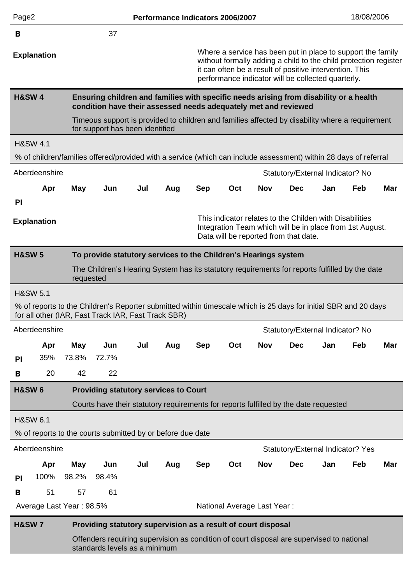| Page2                                                                                                            |                                                                                      |                          |                                                                                                                                                                        |     |     |            | Performance Indicators 2006/2007 |            |                                                                                                                                                                                                                                                  |     | 18/08/2006 |            |  |
|------------------------------------------------------------------------------------------------------------------|--------------------------------------------------------------------------------------|--------------------------|------------------------------------------------------------------------------------------------------------------------------------------------------------------------|-----|-----|------------|----------------------------------|------------|--------------------------------------------------------------------------------------------------------------------------------------------------------------------------------------------------------------------------------------------------|-----|------------|------------|--|
| B                                                                                                                |                                                                                      |                          | 37                                                                                                                                                                     |     |     |            |                                  |            |                                                                                                                                                                                                                                                  |     |            |            |  |
|                                                                                                                  | <b>Explanation</b>                                                                   |                          |                                                                                                                                                                        |     |     |            |                                  |            | Where a service has been put in place to support the family<br>without formally adding a child to the child protection register<br>it can often be a result of positive intervention. This<br>performance indicator will be collected quarterly. |     |            |            |  |
| <b>H&amp;SW4</b>                                                                                                 |                                                                                      |                          | Ensuring children and families with specific needs arising from disability or a health<br>condition have their assessed needs adequately met and reviewed              |     |     |            |                                  |            |                                                                                                                                                                                                                                                  |     |            |            |  |
|                                                                                                                  |                                                                                      |                          | Timeous support is provided to children and families affected by disability where a requirement<br>for support has been identified                                     |     |     |            |                                  |            |                                                                                                                                                                                                                                                  |     |            |            |  |
|                                                                                                                  | <b>H&amp;SW 4.1</b>                                                                  |                          |                                                                                                                                                                        |     |     |            |                                  |            |                                                                                                                                                                                                                                                  |     |            |            |  |
| % of children/families offered/provided with a service (which can include assessment) within 28 days of referral |                                                                                      |                          |                                                                                                                                                                        |     |     |            |                                  |            |                                                                                                                                                                                                                                                  |     |            |            |  |
| Aberdeenshire<br>Statutory/External Indicator? No                                                                |                                                                                      |                          |                                                                                                                                                                        |     |     |            |                                  |            |                                                                                                                                                                                                                                                  |     |            |            |  |
|                                                                                                                  | Apr                                                                                  | <b>May</b>               | Jun                                                                                                                                                                    | Jul | Aug | <b>Sep</b> | Oct                              | <b>Nov</b> | <b>Dec</b>                                                                                                                                                                                                                                       | Jan | Feb        | <b>Mar</b> |  |
| <b>PI</b>                                                                                                        |                                                                                      |                          |                                                                                                                                                                        |     |     |            |                                  |            |                                                                                                                                                                                                                                                  |     |            |            |  |
|                                                                                                                  | <b>Explanation</b>                                                                   |                          |                                                                                                                                                                        |     |     |            |                                  |            | This indicator relates to the Childen with Disabilities<br>Integration Team which will be in place from 1st August.<br>Data will be reported from that date.                                                                                     |     |            |            |  |
|                                                                                                                  | <b>H&amp;SW 5</b><br>To provide statutory services to the Children's Hearings system |                          |                                                                                                                                                                        |     |     |            |                                  |            |                                                                                                                                                                                                                                                  |     |            |            |  |
| The Children's Hearing System has its statutory requirements for reports fulfilled by the date<br>requested      |                                                                                      |                          |                                                                                                                                                                        |     |     |            |                                  |            |                                                                                                                                                                                                                                                  |     |            |            |  |
| <b>H&amp;SW 5.1</b>                                                                                              |                                                                                      |                          |                                                                                                                                                                        |     |     |            |                                  |            |                                                                                                                                                                                                                                                  |     |            |            |  |
|                                                                                                                  |                                                                                      |                          | % of reports to the Children's Reporter submitted within timescale which is 25 days for initial SBR and 20 days<br>for all other (IAR, Fast Track IAR, Fast Track SBR) |     |     |            |                                  |            |                                                                                                                                                                                                                                                  |     |            |            |  |
|                                                                                                                  | Aberdeenshire                                                                        |                          |                                                                                                                                                                        |     |     |            |                                  |            | Statutory/External Indicator? No                                                                                                                                                                                                                 |     |            |            |  |
|                                                                                                                  | Apr                                                                                  | <b>May</b>               | Jun                                                                                                                                                                    | Jul | Aug | <b>Sep</b> | Oct                              | <b>Nov</b> | <b>Dec</b>                                                                                                                                                                                                                                       | Jan | Feb        | <b>Mar</b> |  |
| <b>PI</b>                                                                                                        | 35%                                                                                  | 73.8%                    | 72.7%                                                                                                                                                                  |     |     |            |                                  |            |                                                                                                                                                                                                                                                  |     |            |            |  |
| B                                                                                                                | 20                                                                                   | 42                       | 22                                                                                                                                                                     |     |     |            |                                  |            |                                                                                                                                                                                                                                                  |     |            |            |  |
| <b>H&amp;SW6</b>                                                                                                 |                                                                                      |                          | <b>Providing statutory services to Court</b>                                                                                                                           |     |     |            |                                  |            |                                                                                                                                                                                                                                                  |     |            |            |  |
|                                                                                                                  |                                                                                      |                          | Courts have their statutory requirements for reports fulfilled by the date requested                                                                                   |     |     |            |                                  |            |                                                                                                                                                                                                                                                  |     |            |            |  |
|                                                                                                                  | <b>H&amp;SW 6.1</b>                                                                  |                          |                                                                                                                                                                        |     |     |            |                                  |            |                                                                                                                                                                                                                                                  |     |            |            |  |
|                                                                                                                  |                                                                                      |                          | % of reports to the courts submitted by or before due date                                                                                                             |     |     |            |                                  |            |                                                                                                                                                                                                                                                  |     |            |            |  |
|                                                                                                                  | Aberdeenshire                                                                        |                          |                                                                                                                                                                        |     |     |            |                                  |            | Statutory/External Indicator? Yes                                                                                                                                                                                                                |     |            |            |  |
|                                                                                                                  | Apr                                                                                  | <b>May</b>               | Jun                                                                                                                                                                    | Jul | Aug | <b>Sep</b> | Oct                              | <b>Nov</b> | <b>Dec</b>                                                                                                                                                                                                                                       | Jan | Feb        | <b>Mar</b> |  |
| PI                                                                                                               | 100%                                                                                 | 98.2%                    | 98.4%                                                                                                                                                                  |     |     |            |                                  |            |                                                                                                                                                                                                                                                  |     |            |            |  |
| B                                                                                                                | 51                                                                                   | 57                       | 61                                                                                                                                                                     |     |     |            |                                  |            |                                                                                                                                                                                                                                                  |     |            |            |  |
|                                                                                                                  |                                                                                      | Average Last Year: 98.5% |                                                                                                                                                                        |     |     |            | National Average Last Year:      |            |                                                                                                                                                                                                                                                  |     |            |            |  |
| <b>H&amp;SW7</b>                                                                                                 |                                                                                      |                          | Providing statutory supervision as a result of court disposal                                                                                                          |     |     |            |                                  |            |                                                                                                                                                                                                                                                  |     |            |            |  |
|                                                                                                                  |                                                                                      |                          | Offenders requiring supervision as condition of court disposal are supervised to national<br>standards levels as a minimum                                             |     |     |            |                                  |            |                                                                                                                                                                                                                                                  |     |            |            |  |
|                                                                                                                  |                                                                                      |                          |                                                                                                                                                                        |     |     |            |                                  |            |                                                                                                                                                                                                                                                  |     |            |            |  |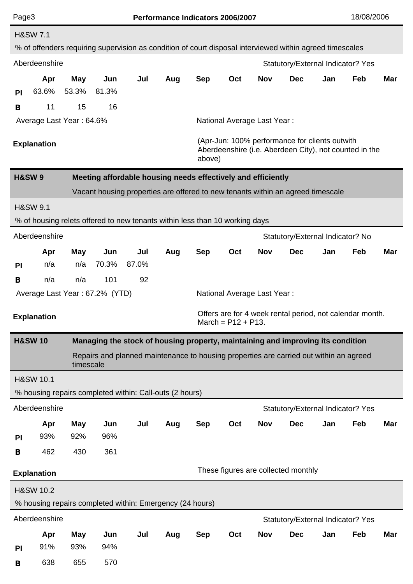| Page3                                                                           |                                                                                  |                     |                                                                                                          |       |     | Performance Indicators 2006/2007                                                                                   |                       |                             |                                                          |     | 18/08/2006 |            |  |
|---------------------------------------------------------------------------------|----------------------------------------------------------------------------------|---------------------|----------------------------------------------------------------------------------------------------------|-------|-----|--------------------------------------------------------------------------------------------------------------------|-----------------------|-----------------------------|----------------------------------------------------------|-----|------------|------------|--|
|                                                                                 | <b>H&amp;SW 7.1</b>                                                              |                     | % of offenders requiring supervision as condition of court disposal interviewed within agreed timescales |       |     |                                                                                                                    |                       |                             |                                                          |     |            |            |  |
|                                                                                 | Aberdeenshire                                                                    |                     |                                                                                                          |       |     |                                                                                                                    |                       |                             | Statutory/External Indicator? Yes                        |     |            |            |  |
| PI                                                                              | Apr<br>63.6%                                                                     | <b>May</b><br>53.3% | Jun<br>81.3%                                                                                             | Jul   | Aug | <b>Sep</b>                                                                                                         | Oct                   | <b>Nov</b>                  | <b>Dec</b>                                               | Jan | Feb        | Mar        |  |
| B                                                                               | 11                                                                               | 15                  | 16                                                                                                       |       |     |                                                                                                                    |                       |                             |                                                          |     |            |            |  |
|                                                                                 | Average Last Year: 64.6%                                                         |                     |                                                                                                          |       |     |                                                                                                                    |                       | National Average Last Year: |                                                          |     |            |            |  |
|                                                                                 | <b>Explanation</b>                                                               |                     |                                                                                                          |       |     | (Apr-Jun: 100% performance for clients outwith<br>Aberdeenshire (i.e. Aberdeen City), not counted in the<br>above) |                       |                             |                                                          |     |            |            |  |
|                                                                                 | <b>H&amp;SW9</b><br>Meeting affordable housing needs effectively and efficiently |                     |                                                                                                          |       |     |                                                                                                                    |                       |                             |                                                          |     |            |            |  |
| Vacant housing properties are offered to new tenants within an agreed timescale |                                                                                  |                     |                                                                                                          |       |     |                                                                                                                    |                       |                             |                                                          |     |            |            |  |
|                                                                                 | <b>H&amp;SW 9.1</b>                                                              |                     |                                                                                                          |       |     |                                                                                                                    |                       |                             |                                                          |     |            |            |  |
|                                                                                 |                                                                                  |                     | % of housing relets offered to new tenants within less than 10 working days                              |       |     |                                                                                                                    |                       |                             |                                                          |     |            |            |  |
|                                                                                 | Aberdeenshire                                                                    |                     |                                                                                                          |       |     |                                                                                                                    |                       |                             | Statutory/External Indicator? No                         |     |            |            |  |
|                                                                                 | Apr                                                                              | <b>May</b>          | Jun                                                                                                      | Jul   | Aug | <b>Sep</b>                                                                                                         | Oct                   | <b>Nov</b>                  | <b>Dec</b>                                               | Jan | Feb        | <b>Mar</b> |  |
| PI                                                                              | n/a                                                                              | n/a                 | 70.3%                                                                                                    | 87.0% |     |                                                                                                                    |                       |                             |                                                          |     |            |            |  |
| B                                                                               | n/a                                                                              | n/a                 | 101                                                                                                      | 92    |     |                                                                                                                    |                       |                             |                                                          |     |            |            |  |
| Average Last Year: 67.2% (YTD)<br>National Average Last Year:                   |                                                                                  |                     |                                                                                                          |       |     |                                                                                                                    |                       |                             |                                                          |     |            |            |  |
|                                                                                 | <b>Explanation</b>                                                               |                     |                                                                                                          |       |     |                                                                                                                    |                       |                             | Offers are for 4 week rental period, not calendar month. |     |            |            |  |
|                                                                                 |                                                                                  |                     |                                                                                                          |       |     |                                                                                                                    | March = $P12 + P13$ . |                             |                                                          |     |            |            |  |
|                                                                                 | <b>H&amp;SW10</b>                                                                |                     | Managing the stock of housing property, maintaining and improving its condition                          |       |     |                                                                                                                    |                       |                             |                                                          |     |            |            |  |
|                                                                                 |                                                                                  | timescale           | Repairs and planned maintenance to housing properties are carried out within an agreed                   |       |     |                                                                                                                    |                       |                             |                                                          |     |            |            |  |
|                                                                                 | <b>H&amp;SW 10.1</b>                                                             |                     |                                                                                                          |       |     |                                                                                                                    |                       |                             |                                                          |     |            |            |  |
|                                                                                 |                                                                                  |                     | % housing repairs completed within: Call-outs (2 hours)                                                  |       |     |                                                                                                                    |                       |                             |                                                          |     |            |            |  |
|                                                                                 | Aberdeenshire                                                                    |                     |                                                                                                          |       |     |                                                                                                                    |                       |                             | Statutory/External Indicator? Yes                        |     |            |            |  |
|                                                                                 | Apr                                                                              | <b>May</b>          | Jun                                                                                                      | Jul   | Aug | <b>Sep</b>                                                                                                         | Oct                   | <b>Nov</b>                  | <b>Dec</b>                                               | Jan | Feb        | Mar        |  |
| <b>PI</b>                                                                       | 93%                                                                              | 92%                 | 96%                                                                                                      |       |     |                                                                                                                    |                       |                             |                                                          |     |            |            |  |
| B                                                                               | 462                                                                              | 430                 | 361                                                                                                      |       |     |                                                                                                                    |                       |                             |                                                          |     |            |            |  |
|                                                                                 | <b>Explanation</b>                                                               |                     |                                                                                                          |       |     |                                                                                                                    |                       |                             | These figures are collected monthly                      |     |            |            |  |
|                                                                                 | <b>H&amp;SW 10.2</b>                                                             |                     |                                                                                                          |       |     |                                                                                                                    |                       |                             |                                                          |     |            |            |  |
|                                                                                 |                                                                                  |                     | % housing repairs completed within: Emergency (24 hours)                                                 |       |     |                                                                                                                    |                       |                             |                                                          |     |            |            |  |
|                                                                                 |                                                                                  |                     |                                                                                                          |       |     |                                                                                                                    |                       |                             |                                                          |     |            |            |  |
|                                                                                 | Aberdeenshire                                                                    |                     |                                                                                                          |       |     |                                                                                                                    |                       |                             | Statutory/External Indicator? Yes                        |     |            |            |  |
|                                                                                 | Apr                                                                              | <b>May</b>          | Jun                                                                                                      | Jul   | Aug | <b>Sep</b>                                                                                                         | Oct                   | <b>Nov</b>                  | <b>Dec</b>                                               | Jan | Feb        | Mar        |  |
| PI                                                                              | 91%                                                                              | 93%                 | 94%                                                                                                      |       |     |                                                                                                                    |                       |                             |                                                          |     |            |            |  |
| B                                                                               | 638                                                                              | 655                 | 570                                                                                                      |       |     |                                                                                                                    |                       |                             |                                                          |     |            |            |  |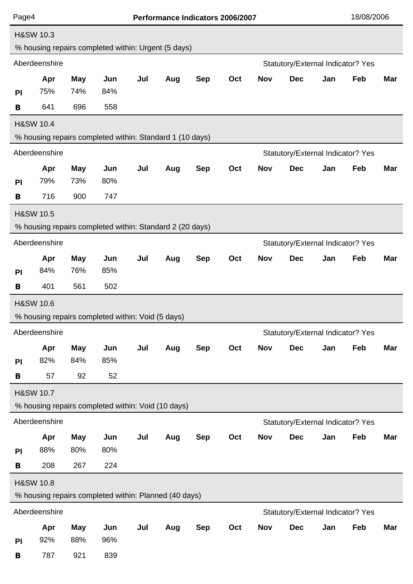| <b>H&amp;SW 10.3</b><br>% housing repairs completed within: Urgent (5 days)<br>Aberdeenshire<br>Statutory/External Indicator? Yes<br><b>May</b><br>Jun<br>Jul<br><b>Nov</b><br><b>Dec</b><br>Feb<br>Apr<br>Aug<br><b>Sep</b><br>Oct<br>Jan<br>75%<br>74%<br>84%<br><b>PI</b><br>558<br>641<br>696<br>B<br><b>H&amp;SW 10.4</b><br>% housing repairs completed within: Standard 1 (10 days)<br>Aberdeenshire<br>Statutory/External Indicator? Yes<br>Feb<br>Jun<br>Jul<br><b>Sep</b><br>Oct<br><b>Nov</b><br><b>Dec</b><br>Jan<br>Apr<br><b>May</b><br>Aug<br>79%<br>73%<br>80%<br>PI<br>716<br>900<br>747<br>B<br><b>H&amp;SW 10.5</b><br>% housing repairs completed within: Standard 2 (20 days)<br>Aberdeenshire<br>Statutory/External Indicator? Yes<br>Feb<br>Jun<br>Jul<br><b>Sep</b><br><b>Nov</b><br><b>Dec</b><br>Jan<br>Apr<br><b>May</b><br>Aug<br>Oct<br>84%<br>76%<br>85%<br>PI<br>401<br>561<br>502<br>B | Mar<br>Mar<br><b>Mar</b> |  |  |  |  |  |  |  |
|------------------------------------------------------------------------------------------------------------------------------------------------------------------------------------------------------------------------------------------------------------------------------------------------------------------------------------------------------------------------------------------------------------------------------------------------------------------------------------------------------------------------------------------------------------------------------------------------------------------------------------------------------------------------------------------------------------------------------------------------------------------------------------------------------------------------------------------------------------------------------------------------------------------------|--------------------------|--|--|--|--|--|--|--|
|                                                                                                                                                                                                                                                                                                                                                                                                                                                                                                                                                                                                                                                                                                                                                                                                                                                                                                                        |                          |  |  |  |  |  |  |  |
|                                                                                                                                                                                                                                                                                                                                                                                                                                                                                                                                                                                                                                                                                                                                                                                                                                                                                                                        |                          |  |  |  |  |  |  |  |
|                                                                                                                                                                                                                                                                                                                                                                                                                                                                                                                                                                                                                                                                                                                                                                                                                                                                                                                        |                          |  |  |  |  |  |  |  |
|                                                                                                                                                                                                                                                                                                                                                                                                                                                                                                                                                                                                                                                                                                                                                                                                                                                                                                                        |                          |  |  |  |  |  |  |  |
|                                                                                                                                                                                                                                                                                                                                                                                                                                                                                                                                                                                                                                                                                                                                                                                                                                                                                                                        |                          |  |  |  |  |  |  |  |
|                                                                                                                                                                                                                                                                                                                                                                                                                                                                                                                                                                                                                                                                                                                                                                                                                                                                                                                        |                          |  |  |  |  |  |  |  |
|                                                                                                                                                                                                                                                                                                                                                                                                                                                                                                                                                                                                                                                                                                                                                                                                                                                                                                                        |                          |  |  |  |  |  |  |  |
|                                                                                                                                                                                                                                                                                                                                                                                                                                                                                                                                                                                                                                                                                                                                                                                                                                                                                                                        |                          |  |  |  |  |  |  |  |
|                                                                                                                                                                                                                                                                                                                                                                                                                                                                                                                                                                                                                                                                                                                                                                                                                                                                                                                        |                          |  |  |  |  |  |  |  |
|                                                                                                                                                                                                                                                                                                                                                                                                                                                                                                                                                                                                                                                                                                                                                                                                                                                                                                                        |                          |  |  |  |  |  |  |  |
|                                                                                                                                                                                                                                                                                                                                                                                                                                                                                                                                                                                                                                                                                                                                                                                                                                                                                                                        |                          |  |  |  |  |  |  |  |
|                                                                                                                                                                                                                                                                                                                                                                                                                                                                                                                                                                                                                                                                                                                                                                                                                                                                                                                        |                          |  |  |  |  |  |  |  |
|                                                                                                                                                                                                                                                                                                                                                                                                                                                                                                                                                                                                                                                                                                                                                                                                                                                                                                                        |                          |  |  |  |  |  |  |  |
|                                                                                                                                                                                                                                                                                                                                                                                                                                                                                                                                                                                                                                                                                                                                                                                                                                                                                                                        |                          |  |  |  |  |  |  |  |
|                                                                                                                                                                                                                                                                                                                                                                                                                                                                                                                                                                                                                                                                                                                                                                                                                                                                                                                        |                          |  |  |  |  |  |  |  |
|                                                                                                                                                                                                                                                                                                                                                                                                                                                                                                                                                                                                                                                                                                                                                                                                                                                                                                                        |                          |  |  |  |  |  |  |  |
|                                                                                                                                                                                                                                                                                                                                                                                                                                                                                                                                                                                                                                                                                                                                                                                                                                                                                                                        |                          |  |  |  |  |  |  |  |
|                                                                                                                                                                                                                                                                                                                                                                                                                                                                                                                                                                                                                                                                                                                                                                                                                                                                                                                        |                          |  |  |  |  |  |  |  |
| <b>H&amp;SW 10.6</b>                                                                                                                                                                                                                                                                                                                                                                                                                                                                                                                                                                                                                                                                                                                                                                                                                                                                                                   |                          |  |  |  |  |  |  |  |
| % housing repairs completed within: Void (5 days)<br>Aberdeenshire                                                                                                                                                                                                                                                                                                                                                                                                                                                                                                                                                                                                                                                                                                                                                                                                                                                     |                          |  |  |  |  |  |  |  |
| Statutory/External Indicator? Yes                                                                                                                                                                                                                                                                                                                                                                                                                                                                                                                                                                                                                                                                                                                                                                                                                                                                                      |                          |  |  |  |  |  |  |  |
| Jul<br><b>Sep</b><br><b>Nov</b><br><b>Dec</b><br>Jan<br>Feb<br>Apr<br><b>May</b><br>Jun<br>Aug<br>Oct<br>82%<br>84%<br>85%<br>PI                                                                                                                                                                                                                                                                                                                                                                                                                                                                                                                                                                                                                                                                                                                                                                                       | Mar                      |  |  |  |  |  |  |  |
| 92<br>52<br>57<br>B                                                                                                                                                                                                                                                                                                                                                                                                                                                                                                                                                                                                                                                                                                                                                                                                                                                                                                    |                          |  |  |  |  |  |  |  |
| <b>H&amp;SW 10.7</b>                                                                                                                                                                                                                                                                                                                                                                                                                                                                                                                                                                                                                                                                                                                                                                                                                                                                                                   |                          |  |  |  |  |  |  |  |
| % housing repairs completed within: Void (10 days)                                                                                                                                                                                                                                                                                                                                                                                                                                                                                                                                                                                                                                                                                                                                                                                                                                                                     |                          |  |  |  |  |  |  |  |
| Aberdeenshire<br>Statutory/External Indicator? Yes                                                                                                                                                                                                                                                                                                                                                                                                                                                                                                                                                                                                                                                                                                                                                                                                                                                                     |                          |  |  |  |  |  |  |  |
| Jul<br><b>Sep</b><br>Oct<br><b>Nov</b><br><b>Dec</b><br>Jan<br>Feb<br>Apr<br><b>May</b><br>Jun<br>Aug                                                                                                                                                                                                                                                                                                                                                                                                                                                                                                                                                                                                                                                                                                                                                                                                                  | Mar                      |  |  |  |  |  |  |  |
| 88%<br>80%<br>80%<br>PI                                                                                                                                                                                                                                                                                                                                                                                                                                                                                                                                                                                                                                                                                                                                                                                                                                                                                                |                          |  |  |  |  |  |  |  |
| 208<br>267<br>224<br>B                                                                                                                                                                                                                                                                                                                                                                                                                                                                                                                                                                                                                                                                                                                                                                                                                                                                                                 |                          |  |  |  |  |  |  |  |
| <b>H&amp;SW 10.8</b>                                                                                                                                                                                                                                                                                                                                                                                                                                                                                                                                                                                                                                                                                                                                                                                                                                                                                                   |                          |  |  |  |  |  |  |  |
| % housing repairs completed within: Planned (40 days)                                                                                                                                                                                                                                                                                                                                                                                                                                                                                                                                                                                                                                                                                                                                                                                                                                                                  |                          |  |  |  |  |  |  |  |
| Aberdeenshire<br>Statutory/External Indicator? Yes                                                                                                                                                                                                                                                                                                                                                                                                                                                                                                                                                                                                                                                                                                                                                                                                                                                                     |                          |  |  |  |  |  |  |  |
| <b>Nov</b><br>May<br>Jul<br><b>Sep</b><br>Oct<br><b>Dec</b><br>Jan<br>Feb<br>Jun<br>Aug<br>Apr                                                                                                                                                                                                                                                                                                                                                                                                                                                                                                                                                                                                                                                                                                                                                                                                                         | <b>Mar</b>               |  |  |  |  |  |  |  |
| 88%<br>96%<br>92%<br><b>PI</b>                                                                                                                                                                                                                                                                                                                                                                                                                                                                                                                                                                                                                                                                                                                                                                                                                                                                                         |                          |  |  |  |  |  |  |  |
| 787<br>839<br>921<br>B                                                                                                                                                                                                                                                                                                                                                                                                                                                                                                                                                                                                                                                                                                                                                                                                                                                                                                 |                          |  |  |  |  |  |  |  |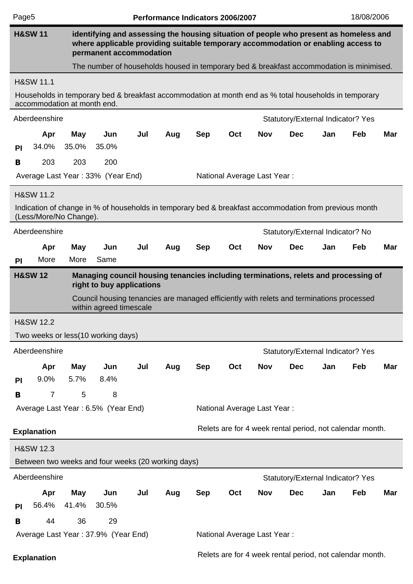| Page <sub>5</sub>                                                                                                                |                                                                                                                                        |            |                                                                                                       |     | Performance Indicators 2006/2007 |                                                                                                                                                                            |                             | 18/08/2006 |                                                          |     |     |            |  |
|----------------------------------------------------------------------------------------------------------------------------------|----------------------------------------------------------------------------------------------------------------------------------------|------------|-------------------------------------------------------------------------------------------------------|-----|----------------------------------|----------------------------------------------------------------------------------------------------------------------------------------------------------------------------|-----------------------------|------------|----------------------------------------------------------|-----|-----|------------|--|
|                                                                                                                                  | <b>H&amp;SW 11</b>                                                                                                                     |            | permanent accommodation                                                                               |     |                                  | identifying and assessing the housing situation of people who present as homeless and<br>where applicable providing suitable temporary accommodation or enabling access to |                             |            |                                                          |     |     |            |  |
|                                                                                                                                  |                                                                                                                                        |            | The number of households housed in temporary bed & breakfast accommodation is minimised.              |     |                                  |                                                                                                                                                                            |                             |            |                                                          |     |     |            |  |
|                                                                                                                                  | <b>H&amp;SW 11.1</b>                                                                                                                   |            |                                                                                                       |     |                                  |                                                                                                                                                                            |                             |            |                                                          |     |     |            |  |
|                                                                                                                                  | accommodation at month end.                                                                                                            |            | Households in temporary bed & breakfast accommodation at month end as % total households in temporary |     |                                  |                                                                                                                                                                            |                             |            |                                                          |     |     |            |  |
|                                                                                                                                  | Aberdeenshire                                                                                                                          |            |                                                                                                       |     |                                  | Statutory/External Indicator? Yes                                                                                                                                          |                             |            |                                                          |     |     |            |  |
|                                                                                                                                  | Apr                                                                                                                                    | <b>May</b> | Jun                                                                                                   | Jul | Aug                              | <b>Sep</b>                                                                                                                                                                 | Oct                         | <b>Nov</b> | <b>Dec</b>                                               | Jan | Feb | <b>Mar</b> |  |
| <b>PI</b>                                                                                                                        | 34.0%                                                                                                                                  | 35.0%      | 35.0%                                                                                                 |     |                                  |                                                                                                                                                                            |                             |            |                                                          |     |     |            |  |
| B                                                                                                                                | 203                                                                                                                                    | 203        | 200                                                                                                   |     |                                  |                                                                                                                                                                            |                             |            |                                                          |     |     |            |  |
|                                                                                                                                  | Average Last Year: 33% (Year End)<br>National Average Last Year:                                                                       |            |                                                                                                       |     |                                  |                                                                                                                                                                            |                             |            |                                                          |     |     |            |  |
|                                                                                                                                  | <b>H&amp;SW 11.2</b>                                                                                                                   |            |                                                                                                       |     |                                  |                                                                                                                                                                            |                             |            |                                                          |     |     |            |  |
| Indication of change in % of households in temporary bed & breakfast accommodation from previous month<br>(Less/More/No Change). |                                                                                                                                        |            |                                                                                                       |     |                                  |                                                                                                                                                                            |                             |            |                                                          |     |     |            |  |
| Aberdeenshire<br>Statutory/External Indicator? No                                                                                |                                                                                                                                        |            |                                                                                                       |     |                                  |                                                                                                                                                                            |                             |            |                                                          |     |     |            |  |
|                                                                                                                                  | Apr                                                                                                                                    | <b>May</b> | Jun                                                                                                   | Jul | Aug                              | <b>Sep</b>                                                                                                                                                                 | Oct                         | <b>Nov</b> | <b>Dec</b>                                               | Jan | Feb | <b>Mar</b> |  |
| <b>PI</b>                                                                                                                        | More                                                                                                                                   | More       | Same                                                                                                  |     |                                  |                                                                                                                                                                            |                             |            |                                                          |     |     |            |  |
|                                                                                                                                  | <b>H&amp;SW 12</b><br>Managing council housing tenancies including terminations, relets and processing of<br>right to buy applications |            |                                                                                                       |     |                                  |                                                                                                                                                                            |                             |            |                                                          |     |     |            |  |
|                                                                                                                                  | Council housing tenancies are managed efficiently with relets and terminations processed<br>within agreed timescale                    |            |                                                                                                       |     |                                  |                                                                                                                                                                            |                             |            |                                                          |     |     |            |  |
|                                                                                                                                  | <b>H&amp;SW 12.2</b>                                                                                                                   |            |                                                                                                       |     |                                  |                                                                                                                                                                            |                             |            |                                                          |     |     |            |  |
|                                                                                                                                  |                                                                                                                                        |            | Two weeks or less (10 working days)                                                                   |     |                                  |                                                                                                                                                                            |                             |            |                                                          |     |     |            |  |
|                                                                                                                                  | Aberdeenshire                                                                                                                          |            |                                                                                                       |     |                                  |                                                                                                                                                                            |                             |            | Statutory/External Indicator? Yes                        |     |     |            |  |
|                                                                                                                                  | Apr                                                                                                                                    | <b>May</b> | Jun                                                                                                   | Jul | Aug                              | <b>Sep</b>                                                                                                                                                                 | Oct                         | <b>Nov</b> | <b>Dec</b>                                               | Jan | Feb | Mar        |  |
| <b>PI</b>                                                                                                                        | 9.0%                                                                                                                                   | 5.7%       | 8.4%                                                                                                  |     |                                  |                                                                                                                                                                            |                             |            |                                                          |     |     |            |  |
| B                                                                                                                                | $\overline{7}$                                                                                                                         | 5          | 8                                                                                                     |     |                                  |                                                                                                                                                                            |                             |            |                                                          |     |     |            |  |
|                                                                                                                                  |                                                                                                                                        |            | Average Last Year: 6.5% (Year End)                                                                    |     |                                  |                                                                                                                                                                            | National Average Last Year: |            |                                                          |     |     |            |  |
|                                                                                                                                  | <b>Explanation</b>                                                                                                                     |            |                                                                                                       |     |                                  |                                                                                                                                                                            |                             |            | Relets are for 4 week rental period, not calendar month. |     |     |            |  |
|                                                                                                                                  | <b>H&amp;SW 12.3</b>                                                                                                                   |            |                                                                                                       |     |                                  |                                                                                                                                                                            |                             |            |                                                          |     |     |            |  |
|                                                                                                                                  |                                                                                                                                        |            | Between two weeks and four weeks (20 working days)                                                    |     |                                  |                                                                                                                                                                            |                             |            |                                                          |     |     |            |  |
|                                                                                                                                  | Aberdeenshire                                                                                                                          |            |                                                                                                       |     |                                  |                                                                                                                                                                            |                             |            | Statutory/External Indicator? Yes                        |     |     |            |  |
|                                                                                                                                  | Apr                                                                                                                                    | <b>May</b> | Jun                                                                                                   | Jul | Aug                              | <b>Sep</b>                                                                                                                                                                 | Oct                         | <b>Nov</b> | <b>Dec</b>                                               | Jan | Feb | Mar        |  |
| <b>PI</b>                                                                                                                        | 56.4%                                                                                                                                  | 41.4%      | 30.5%                                                                                                 |     |                                  |                                                                                                                                                                            |                             |            |                                                          |     |     |            |  |
| B                                                                                                                                | 44                                                                                                                                     | 36         | 29                                                                                                    |     |                                  |                                                                                                                                                                            |                             |            |                                                          |     |     |            |  |
|                                                                                                                                  |                                                                                                                                        |            | Average Last Year: 37.9% (Year End)                                                                   |     |                                  |                                                                                                                                                                            | National Average Last Year: |            |                                                          |     |     |            |  |
| <b>Explanation</b>                                                                                                               |                                                                                                                                        |            |                                                                                                       |     |                                  |                                                                                                                                                                            |                             |            | Relets are for 4 week rental period, not calendar month. |     |     |            |  |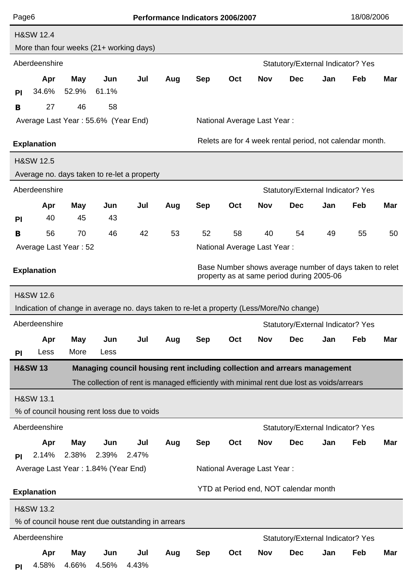| Page <sub>6</sub>                                                                                                          |                                                                                |              |                                              |                                                                                           |     | Performance Indicators 2006/2007 |     |                                    |                                              |     | 18/08/2006 |            |
|----------------------------------------------------------------------------------------------------------------------------|--------------------------------------------------------------------------------|--------------|----------------------------------------------|-------------------------------------------------------------------------------------------|-----|----------------------------------|-----|------------------------------------|----------------------------------------------|-----|------------|------------|
|                                                                                                                            | <b>H&amp;SW 12.4</b>                                                           |              |                                              |                                                                                           |     |                                  |     |                                    |                                              |     |            |            |
|                                                                                                                            |                                                                                |              |                                              | More than four weeks (21+ working days)                                                   |     |                                  |     |                                    |                                              |     |            |            |
|                                                                                                                            | Aberdeenshire<br>Statutory/External Indicator? Yes                             |              |                                              |                                                                                           |     |                                  |     |                                    |                                              |     |            |            |
|                                                                                                                            | Apr                                                                            | <b>May</b>   | Jun                                          | Jul                                                                                       | Aug | <b>Sep</b>                       | Oct | <b>Nov</b>                         | <b>Dec</b>                                   | Jan | Feb        | <b>Mar</b> |
| <b>PI</b>                                                                                                                  | 34.6%                                                                          | 52.9%        | 61.1%                                        |                                                                                           |     |                                  |     |                                    |                                              |     |            |            |
| B                                                                                                                          | 27                                                                             | 46           | 58                                           |                                                                                           |     |                                  |     |                                    |                                              |     |            |            |
|                                                                                                                            |                                                                                |              | Average Last Year: 55.6% (Year End)          |                                                                                           |     |                                  |     | <b>National Average Last Year:</b> |                                              |     |            |            |
|                                                                                                                            | Relets are for 4 week rental period, not calendar month.<br><b>Explanation</b> |              |                                              |                                                                                           |     |                                  |     |                                    |                                              |     |            |            |
|                                                                                                                            | <b>H&amp;SW 12.5</b>                                                           |              |                                              |                                                                                           |     |                                  |     |                                    |                                              |     |            |            |
|                                                                                                                            |                                                                                |              |                                              | Average no. days taken to re-let a property                                               |     |                                  |     |                                    |                                              |     |            |            |
|                                                                                                                            | Aberdeenshire                                                                  |              |                                              |                                                                                           |     |                                  |     |                                    | Statutory/External Indicator? Yes            |     |            |            |
|                                                                                                                            | Apr                                                                            | <b>May</b>   | Jun                                          | Jul                                                                                       | Aug | <b>Sep</b>                       | Oct | <b>Nov</b>                         | <b>Dec</b>                                   | Jan | Feb        | <b>Mar</b> |
| <b>PI</b>                                                                                                                  | 40                                                                             | 45           | 43                                           |                                                                                           |     |                                  |     |                                    |                                              |     |            |            |
| B                                                                                                                          | 56                                                                             | 70           | 46                                           | 42                                                                                        | 53  | 52                               | 58  | 40                                 | 54                                           | 49  | 55         | 50         |
| National Average Last Year:<br>Average Last Year: 52                                                                       |                                                                                |              |                                              |                                                                                           |     |                                  |     |                                    |                                              |     |            |            |
| Base Number shows average number of days taken to relet<br><b>Explanation</b><br>property as at same period during 2005-06 |                                                                                |              |                                              |                                                                                           |     |                                  |     |                                    |                                              |     |            |            |
|                                                                                                                            | <b>H&amp;SW 12.6</b>                                                           |              |                                              |                                                                                           |     |                                  |     |                                    |                                              |     |            |            |
|                                                                                                                            |                                                                                |              |                                              | Indication of change in average no. days taken to re-let a property (Less/More/No change) |     |                                  |     |                                    |                                              |     |            |            |
|                                                                                                                            | Aberdeenshire                                                                  |              |                                              |                                                                                           |     |                                  |     |                                    | Statutory/External Indicator? Yes            |     |            |            |
|                                                                                                                            | Apr                                                                            | <b>May</b>   | Jun                                          | Jul                                                                                       | Aug | <b>Sep</b>                       | Oct | <b>Nov</b>                         | <b>Dec</b>                                   | Jan | Feb        | Mar        |
| <b>PI</b>                                                                                                                  | Less                                                                           | More         | Less                                         |                                                                                           |     |                                  |     |                                    |                                              |     |            |            |
| <b>H&amp;SW13</b>                                                                                                          |                                                                                |              |                                              | Managing council housing rent including collection and arrears management                 |     |                                  |     |                                    |                                              |     |            |            |
|                                                                                                                            |                                                                                |              |                                              | The collection of rent is managed efficiently with minimal rent due lost as voids/arrears |     |                                  |     |                                    |                                              |     |            |            |
|                                                                                                                            | <b>H&amp;SW 13.1</b>                                                           |              |                                              |                                                                                           |     |                                  |     |                                    |                                              |     |            |            |
|                                                                                                                            |                                                                                |              |                                              | % of council housing rent loss due to voids                                               |     |                                  |     |                                    |                                              |     |            |            |
|                                                                                                                            | Aberdeenshire                                                                  |              |                                              |                                                                                           |     |                                  |     |                                    | Statutory/External Indicator? Yes            |     |            |            |
|                                                                                                                            | Apr                                                                            | May          | Jun                                          | Jul                                                                                       | Aug | <b>Sep</b>                       | Oct | <b>Nov</b>                         | <b>Dec</b>                                   | Jan | Feb        | Mar        |
| PI                                                                                                                         | 2.14%                                                                          | 2.38%        | 2.39%<br>Average Last Year: 1.84% (Year End) | 2.47%                                                                                     |     |                                  |     | <b>National Average Last Year:</b> |                                              |     |            |            |
|                                                                                                                            |                                                                                |              |                                              |                                                                                           |     |                                  |     |                                    |                                              |     |            |            |
|                                                                                                                            | <b>Explanation</b>                                                             |              |                                              |                                                                                           |     |                                  |     |                                    | <b>YTD at Period end, NOT calendar month</b> |     |            |            |
|                                                                                                                            | <b>H&amp;SW 13.2</b>                                                           |              |                                              |                                                                                           |     |                                  |     |                                    |                                              |     |            |            |
|                                                                                                                            |                                                                                |              |                                              | % of council house rent due outstanding in arrears                                        |     |                                  |     |                                    |                                              |     |            |            |
|                                                                                                                            | Aberdeenshire                                                                  |              |                                              |                                                                                           |     |                                  |     |                                    | Statutory/External Indicator? Yes            |     |            |            |
| <b>PI</b>                                                                                                                  | Apr<br>4.58%                                                                   | May<br>4.66% | Jun<br>4.56%                                 | Jul<br>4.43%                                                                              | Aug | <b>Sep</b>                       | Oct | Nov                                | <b>Dec</b>                                   | Jan | Feb        | Mar        |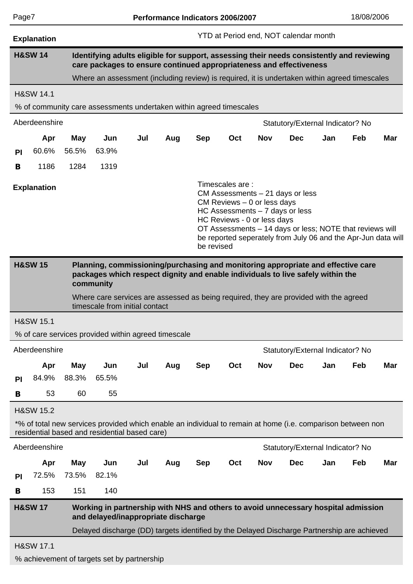| ſ<br>Ξ |  |
|--------|--|
|        |  |

|                                                                                                                                                                                                                                                                                                                                   | <b>Explanation</b>   |                                                                                                                                                                  |                                                                                                                                                              |     |     | <b>YTD at Period end, NOT calendar month</b> |     |            |                                  |     |     |            |  |  |
|-----------------------------------------------------------------------------------------------------------------------------------------------------------------------------------------------------------------------------------------------------------------------------------------------------------------------------------|----------------------|------------------------------------------------------------------------------------------------------------------------------------------------------------------|--------------------------------------------------------------------------------------------------------------------------------------------------------------|-----|-----|----------------------------------------------|-----|------------|----------------------------------|-----|-----|------------|--|--|
|                                                                                                                                                                                                                                                                                                                                   | <b>H&amp;SW 14</b>   | Identifying adults eligible for support, assessing their needs consistently and reviewing<br>care packages to ensure continued appropriateness and effectiveness |                                                                                                                                                              |     |     |                                              |     |            |                                  |     |     |            |  |  |
|                                                                                                                                                                                                                                                                                                                                   |                      |                                                                                                                                                                  | Where an assessment (including review) is required, it is undertaken within agreed timescales                                                                |     |     |                                              |     |            |                                  |     |     |            |  |  |
|                                                                                                                                                                                                                                                                                                                                   | <b>H&amp;SW 14.1</b> |                                                                                                                                                                  |                                                                                                                                                              |     |     |                                              |     |            |                                  |     |     |            |  |  |
|                                                                                                                                                                                                                                                                                                                                   |                      |                                                                                                                                                                  | % of community care assessments undertaken within agreed timescales                                                                                          |     |     |                                              |     |            |                                  |     |     |            |  |  |
|                                                                                                                                                                                                                                                                                                                                   | Aberdeenshire        |                                                                                                                                                                  |                                                                                                                                                              |     |     | Statutory/External Indicator? No             |     |            |                                  |     |     |            |  |  |
|                                                                                                                                                                                                                                                                                                                                   | Apr                  | May                                                                                                                                                              | Jun                                                                                                                                                          | Jul | Aug | <b>Sep</b>                                   | Oct | <b>Nov</b> | <b>Dec</b>                       | Jan | Feb | <b>Mar</b> |  |  |
| <b>PI</b>                                                                                                                                                                                                                                                                                                                         | 60.6%                | 56.5%                                                                                                                                                            | 63.9%                                                                                                                                                        |     |     |                                              |     |            |                                  |     |     |            |  |  |
| B                                                                                                                                                                                                                                                                                                                                 | 1186                 | 1284                                                                                                                                                             | 1319                                                                                                                                                         |     |     |                                              |     |            |                                  |     |     |            |  |  |
| Timescales are:<br><b>Explanation</b><br>CM Assessments $-21$ days or less<br>CM Reviews $-0$ or less days<br>HC Assessments $-7$ days or less<br>HC Reviews - 0 or less days<br>OT Assessments - 14 days or less; NOTE that reviews will<br>be reported seperately from July 06 and the Apr-Jun data will<br>be revised          |                      |                                                                                                                                                                  |                                                                                                                                                              |     |     |                                              |     |            |                                  |     |     |            |  |  |
| <b>H&amp;SW 15</b><br>Planning, commissioning/purchasing and monitoring appropriate and effective care<br>packages which respect dignity and enable individuals to live safely within the<br>community<br>Where care services are assessed as being required, they are provided with the agreed<br>timescale from initial contact |                      |                                                                                                                                                                  |                                                                                                                                                              |     |     |                                              |     |            |                                  |     |     |            |  |  |
|                                                                                                                                                                                                                                                                                                                                   | <b>H&amp;SW 15.1</b> |                                                                                                                                                                  |                                                                                                                                                              |     |     |                                              |     |            |                                  |     |     |            |  |  |
|                                                                                                                                                                                                                                                                                                                                   |                      |                                                                                                                                                                  | % of care services provided within agreed timescale                                                                                                          |     |     |                                              |     |            |                                  |     |     |            |  |  |
|                                                                                                                                                                                                                                                                                                                                   | Aberdeenshire        |                                                                                                                                                                  |                                                                                                                                                              |     |     |                                              |     |            | Statutory/External Indicator? No |     |     |            |  |  |
|                                                                                                                                                                                                                                                                                                                                   | Apr                  | <b>May</b>                                                                                                                                                       | Jun                                                                                                                                                          | Jul | Aug | <b>Sep</b>                                   | Oct | <b>Nov</b> | <b>Dec</b>                       | Jan | Feb | <b>Mar</b> |  |  |
| PI                                                                                                                                                                                                                                                                                                                                | 84.9%                | 88.3%                                                                                                                                                            | 65.5%                                                                                                                                                        |     |     |                                              |     |            |                                  |     |     |            |  |  |
| B                                                                                                                                                                                                                                                                                                                                 | 53                   | 60                                                                                                                                                               | 55                                                                                                                                                           |     |     |                                              |     |            |                                  |     |     |            |  |  |
|                                                                                                                                                                                                                                                                                                                                   | <b>H&amp;SW 15.2</b> |                                                                                                                                                                  |                                                                                                                                                              |     |     |                                              |     |            |                                  |     |     |            |  |  |
|                                                                                                                                                                                                                                                                                                                                   |                      |                                                                                                                                                                  | *% of total new services provided which enable an individual to remain at home (i.e. comparison between non<br>residential based and residential based care) |     |     |                                              |     |            |                                  |     |     |            |  |  |
|                                                                                                                                                                                                                                                                                                                                   | Aberdeenshire        |                                                                                                                                                                  |                                                                                                                                                              |     |     |                                              |     |            | Statutory/External Indicator? No |     |     |            |  |  |
|                                                                                                                                                                                                                                                                                                                                   | Apr                  | May                                                                                                                                                              | Jun                                                                                                                                                          | Jul | Aug | <b>Sep</b>                                   | Oct | <b>Nov</b> | <b>Dec</b>                       | Jan | Feb | <b>Mar</b> |  |  |
| PI                                                                                                                                                                                                                                                                                                                                | 72.5%                | 73.5%                                                                                                                                                            | 82.1%                                                                                                                                                        |     |     |                                              |     |            |                                  |     |     |            |  |  |
| B                                                                                                                                                                                                                                                                                                                                 | 153                  | 151                                                                                                                                                              | 140                                                                                                                                                          |     |     |                                              |     |            |                                  |     |     |            |  |  |
|                                                                                                                                                                                                                                                                                                                                   | <b>H&amp;SW 17</b>   |                                                                                                                                                                  | Working in partnership with NHS and others to avoid unnecessary hospital admission<br>and delayed/inappropriate discharge                                    |     |     |                                              |     |            |                                  |     |     |            |  |  |
|                                                                                                                                                                                                                                                                                                                                   |                      |                                                                                                                                                                  | Delayed discharge (DD) targets identified by the Delayed Discharge Partnership are achieved                                                                  |     |     |                                              |     |            |                                  |     |     |            |  |  |
|                                                                                                                                                                                                                                                                                                                                   | <b>H&amp;SW 17.1</b> |                                                                                                                                                                  |                                                                                                                                                              |     |     |                                              |     |            |                                  |     |     |            |  |  |
|                                                                                                                                                                                                                                                                                                                                   |                      |                                                                                                                                                                  | % achievement of targets set by partnership                                                                                                                  |     |     |                                              |     |            |                                  |     |     |            |  |  |